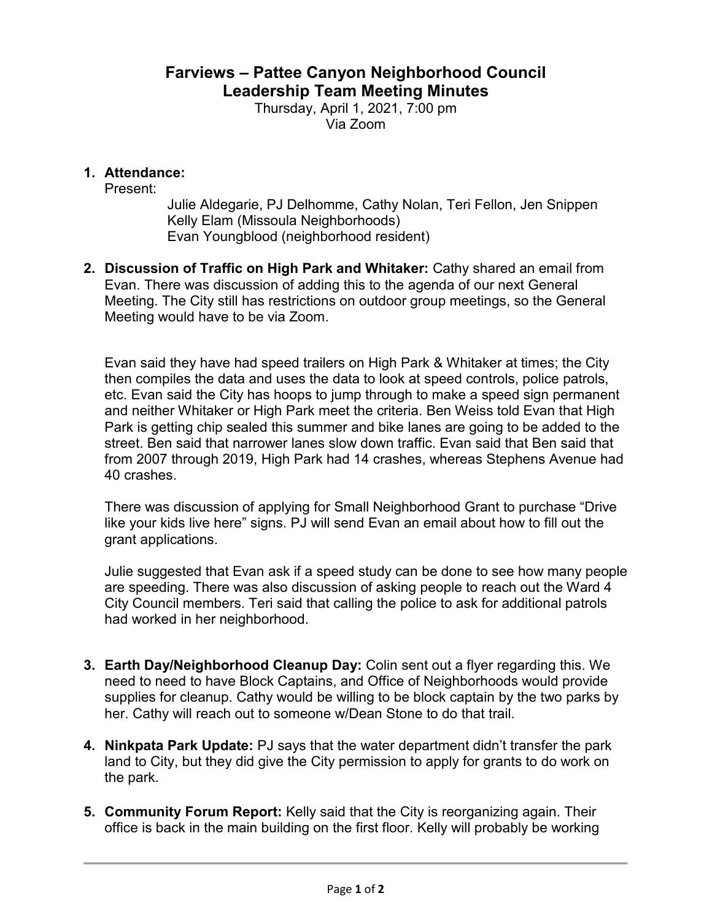## **Farviews – Pattee Canyon Neighborhood Council Leadership Team Meeting Minutes**

Thursday, April 1, 2021, 7:00 pm Via Zoom

## **1. Attendance:**

Present:

Julie Aldegarie, PJ Delhomme, Cathy Nolan, Teri Fellon, Jen Snippen Kelly Elam (Missoula Neighborhoods) Evan Youngblood (neighborhood resident)

**2. Discussion of Traffic on High Park and Whitaker:** Cathy shared an email from Evan. There was discussion of adding this to the agenda of our next General Meeting. The City still has restrictions on outdoor group meetings, so the General Meeting would have to be via Zoom.

Evan said they have had speed trailers on High Park & Whitaker at times; the City then compiles the data and uses the data to look at speed controls, police patrols, etc. Evan said the City has hoops to jump through to make a speed sign permanent and neither Whitaker or High Park meet the criteria. Ben Weiss told Evan that High Park is getting chip sealed this summer and bike lanes are going to be added to the street. Ben said that narrower lanes slow down traffic. Evan said that Ben said that from 2007 through 2019, High Park had 14 crashes, whereas Stephens Avenue had 40 crashes.

There was discussion of applying for Small Neighborhood Grant to purchase "Drive like your kids live here" signs. PJ will send Evan an email about how to fill out the grant applications.

Julie suggested that Evan ask if a speed study can be done to see how many people are speeding. There was also discussion of asking people to reach out the Ward 4 City Council members. Teri said that calling the police to ask for additional patrols had worked in her neighborhood.

- **3. Earth Day/Neighborhood Cleanup Day:** Colin sent out a flyer regarding this. We need to need to have Block Captains, and Office of Neighborhoods would provide supplies for cleanup. Cathy would be willing to be block captain by the two parks by her. Cathy will reach out to someone w/Dean Stone to do that trail.
- **4. Ninkpata Park Update:** PJ says that the water department didn't transfer the park land to City, but they did give the City permission to apply for grants to do work on the park.
- **5. Community Forum Report:** Kelly said that the City is reorganizing again. Their office is back in the main building on the first floor. Kelly will probably be working